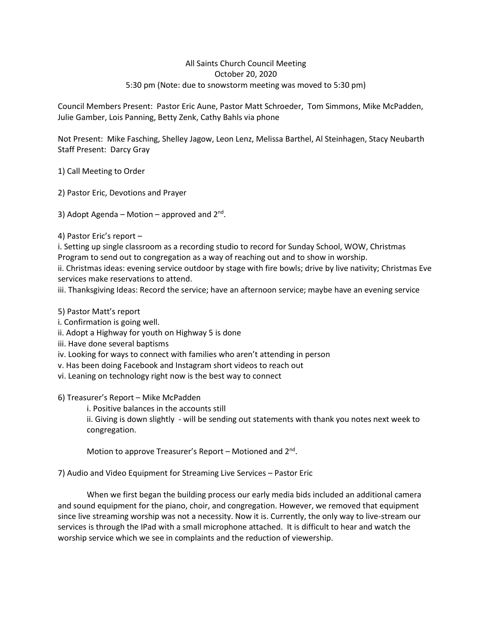## All Saints Church Council Meeting October 20, 2020 5:30 pm (Note: due to snowstorm meeting was moved to 5:30 pm)

Council Members Present: Pastor Eric Aune, Pastor Matt Schroeder, Tom Simmons, Mike McPadden, Julie Gamber, Lois Panning, Betty Zenk, Cathy Bahls via phone

Not Present: Mike Fasching, Shelley Jagow, Leon Lenz, Melissa Barthel, Al Steinhagen, Stacy Neubarth Staff Present: Darcy Gray

1) Call Meeting to Order

2) Pastor Eric, Devotions and Prayer

3) Adopt Agenda - Motion - approved and 2<sup>nd</sup>.

4) Pastor Eric's report –

i. Setting up single classroom as a recording studio to record for Sunday School, WOW, Christmas Program to send out to congregation as a way of reaching out and to show in worship.

ii. Christmas ideas: evening service outdoor by stage with fire bowls; drive by live nativity; Christmas Eve services make reservations to attend.

iii. Thanksgiving Ideas: Record the service; have an afternoon service; maybe have an evening service

## 5) Pastor Matt's report

- i. Confirmation is going well.
- ii. Adopt a Highway for youth on Highway 5 is done
- iii. Have done several baptisms
- iv. Looking for ways to connect with families who aren't attending in person
- v. Has been doing Facebook and Instagram short videos to reach out
- vi. Leaning on technology right now is the best way to connect

6) Treasurer's Report – Mike McPadden

i. Positive balances in the accounts still

ii. Giving is down slightly - will be sending out statements with thank you notes next week to congregation.

Motion to approve Treasurer's Report - Motioned and 2<sup>nd</sup>.

7) Audio and Video Equipment for Streaming Live Services – Pastor Eric

When we first began the building process our early media bids included an additional camera and sound equipment for the piano, choir, and congregation. However, we removed that equipment since live streaming worship was not a necessity. Now it is. Currently, the only way to live-stream our services is through the IPad with a small microphone attached. It is difficult to hear and watch the worship service which we see in complaints and the reduction of viewership.